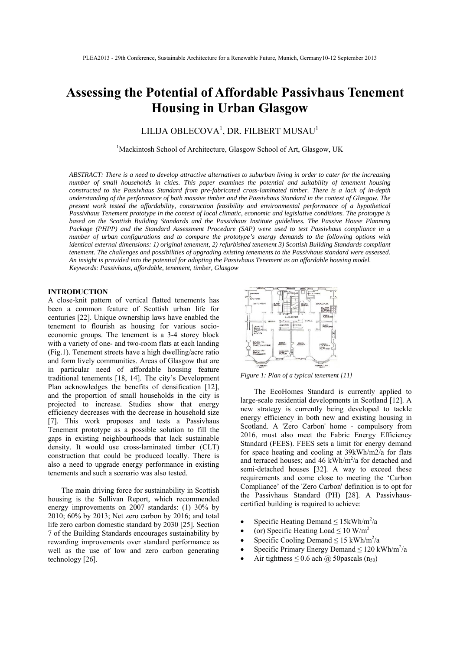# **Assessing the Potential of Affordable Passivhaus Tenement Housing in Urban Glasgow**

## LILIJA OBLECOVA $^{\rm l}$ , DR. FILBERT MUSAU $^{\rm l}$

<sup>1</sup>Mackintosh School of Architecture, Glasgow School of Art, Glasgow, UK

*ABSTRACT: There is a need to develop attractive alternatives to suburban living in order to cater for the increasing number of small households in cities. This paper examines the potential and suitability of tenement housing constructed to the Passivhaus Standard from pre-fabricated cross-laminated timber. There is a lack of in-depth understanding of the performance of both massive timber and the Passivhaus Standard in the context of Glasgow. The present work tested the affordability, construction feasibility and environmental performance of a hypothetical Passivhaus Tenement prototype in the context of local climatic, economic and legislative conditions. The prototype is based on the Scottish Building Standards and the Passivhaus Institute guidelines. The Passive House Planning Package (PHPP) and the Standard Assessment Procedure (SAP) were used to test Passivhaus compliance in a number of urban configurations and to compare the prototype's energy demands to the following options with identical external dimensions: 1) original tenement, 2) refurbished tenement 3) Scottish Building Standards compliant tenement. The challenges and possibilities of upgrading existing tenements to the Passivhaus standard were assessed. An insight is provided into the potential for adopting the Passivhaus Tenement as an affordable housing model. Keywords: Passivhaus, affordable, tenement, timber, Glasgow* 

## **INTRODUCTION**

A close-knit pattern of vertical flatted tenements has been a common feature of Scottish urban life for centuries [22]. Unique ownership laws have enabled the tenement to flourish as housing for various socioeconomic groups. The tenement is a 3-4 storey block with a variety of one- and two-room flats at each landing (Fig.1). Tenement streets have a high dwelling/acre ratio and form lively communities. Areas of Glasgow that are in particular need of affordable housing feature traditional tenements [18, 14]. The city's Development Plan acknowledges the benefits of densification [12], and the proportion of small households in the city is projected to increase. Studies show that energy efficiency decreases with the decrease in household size [7]. This work proposes and tests a Passivhaus Tenement prototype as a possible solution to fill the gaps in existing neighbourhoods that lack sustainable density. It would use cross-laminated timber (CLT) construction that could be produced locally. There is also a need to upgrade energy performance in existing tenements and such a scenario was also tested.

The main driving force for sustainability in Scottish housing is the Sullivan Report, which recommended energy improvements on 2007 standards: (1) 30% by 2010; 60% by 2013; Net zero carbon by 2016; and total life zero carbon domestic standard by 2030 [25]. Section 7 of the Building Standards encourages sustainability by rewarding improvements over standard performance as well as the use of low and zero carbon generating technology [26].



*Figure 1: Plan of a typical tenement [11]* 

The EcoHomes Standard is currently applied to large-scale residential developments in Scotland [12]. A new strategy is currently being developed to tackle energy efficiency in both new and existing housing in Scotland. A 'Zero Carbon' home - compulsory from 2016, must also meet the Fabric Energy Efficiency Standard (FEES). FEES sets a limit for energy demand for space heating and cooling at 39kWh/m2/a for flats and terraced houses; and  $46$  kWh/m<sup>2</sup>/a for detached and semi-detached houses [32]. A way to exceed these requirements and come close to meeting the 'Carbon Compliance' of the 'Zero Carbon' definition is to opt for the Passivhaus Standard (PH) [28]. A Passivhauscertified building is required to achieve:

- Specific Heating Demand  $\leq 15$ kWh/m<sup>2</sup>/a
- (or) Specific Heating Load  $\leq 10$  W/m<sup>2</sup>
- Specific Cooling Demand  $\leq 15$  kWh/m<sup>2</sup>/a
- Specific Primary Energy Demand  $\leq 120$  kWh/m<sup>2</sup>/a
- Air tightness  $\leq 0.6$  ach @ 50 pascals (n<sub>50</sub>)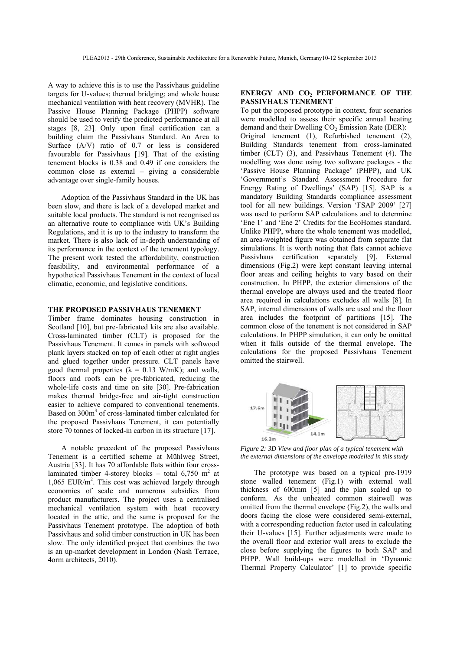A way to achieve this is to use the Passivhaus guideline targets for U-values; thermal bridging; and whole house mechanical ventilation with heat recovery (MVHR). The Passive House Planning Package (PHPP) software should be used to verify the predicted performance at all stages [8, 23]. Only upon final certification can a building claim the Passivhaus Standard. An Area to Surface (A/V) ratio of 0.7 or less is considered favourable for Passivhaus [19]. That of the existing tenement blocks is 0.38 and 0.49 if one considers the common close as external – giving a considerable advantage over single-family houses.

Adoption of the Passivhaus Standard in the UK has been slow, and there is lack of a developed market and suitable local products. The standard is not recognised as an alternative route to compliance with UK's Building Regulations, and it is up to the industry to transform the market. There is also lack of in-depth understanding of its performance in the context of the tenement typology. The present work tested the affordability, construction feasibility, and environmental performance of a hypothetical Passivhaus Tenement in the context of local climatic, economic, and legislative conditions.

## **THE PROPOSED PASSIVHAUS TENEMENT**

Timber frame dominates housing construction in Scotland [10], but pre-fabricated kits are also available. Cross-laminated timber (CLT) is proposed for the Passivhaus Tenement. It comes in panels with softwood plank layers stacked on top of each other at right angles and glued together under pressure. CLT panels have good thermal properties ( $\lambda = 0.13$  W/mK); and walls, floors and roofs can be pre-fabricated, reducing the whole-life costs and time on site [30]. Pre-fabrication makes thermal bridge-free and air-tight construction easier to achieve compared to conventional tenements. Based on 300m<sup>3</sup> of cross-laminated timber calculated for the proposed Passivhaus Tenement, it can potentially store 70 tonnes of locked-in carbon in its structure [17].

A notable precedent of the proposed Passivhaus Tenement is a certified scheme at Mühlweg Street, Austria [33]. It has 70 affordable flats within four crosslaminated timber 4-storey blocks – total  $6,750$  m<sup>2</sup> at 1,065 EUR/m<sup>2</sup>. This cost was achieved largely through economies of scale and numerous subsidies from product manufacturers. The project uses a centralised mechanical ventilation system with heat recovery located in the attic, and the same is proposed for the Passivhaus Tenement prototype. The adoption of both Passivhaus and solid timber construction in UK has been slow. The only identified project that combines the two is an up-market development in London (Nash Terrace, 4orm architects, 2010).

## **ENERGY AND CO<sub>2</sub> PERFORMANCE OF THE PASSIVHAUS TENEMENT**

To put the proposed prototype in context, four scenarios were modelled to assess their specific annual heating demand and their Dwelling  $CO<sub>2</sub>$  Emission Rate (DER): Original tenement (1), Refurbished tenement (2), Building Standards tenement from cross-laminated timber (CLT) (3), and Passivhaus Tenement (4). The modelling was done using two software packages - the 'Passive House Planning Package' (PHPP), and UK 'Government's Standard Assessment Procedure for Energy Rating of Dwellings' (SAP) [15]. SAP is a mandatory Building Standards compliance assessment tool for all new buildings. Version 'FSAP 2009' [27] was used to perform SAP calculations and to determine 'Ene 1' and 'Ene 2' Credits for the EcoHomes standard. Unlike PHPP, where the whole tenement was modelled, an area-weighted figure was obtained from separate flat simulations. It is worth noting that flats cannot achieve Passivhaus certification separately [9]. External dimensions (Fig.2) were kept constant leaving internal floor areas and ceiling heights to vary based on their construction. In PHPP, the exterior dimensions of the thermal envelope are always used and the treated floor area required in calculations excludes all walls [8]. In SAP, internal dimensions of walls are used and the floor area includes the footprint of partitions [15]. The common close of the tenement is not considered in SAP calculations. In PHPP simulation, it can only be omitted when it falls outside of the thermal envelope. The calculations for the proposed Passivhaus Tenement omitted the stairwell.



*Figure 2: 3D View and floor plan of a typical tenement with the external dimensions of the envelope modelled in this study* 

The prototype was based on a typical pre-1919 stone walled tenement (Fig.1) with external wall thickness of 600mm [5] and the plan scaled up to conform. As the unheated common stairwell was omitted from the thermal envelope (Fig.2), the walls and doors facing the close were considered semi-external, with a corresponding reduction factor used in calculating their U-values [15]. Further adjustments were made to the overall floor and exterior wall areas to exclude the close before supplying the figures to both SAP and PHPP. Wall build-ups were modelled in 'Dynamic Thermal Property Calculator' [1] to provide specific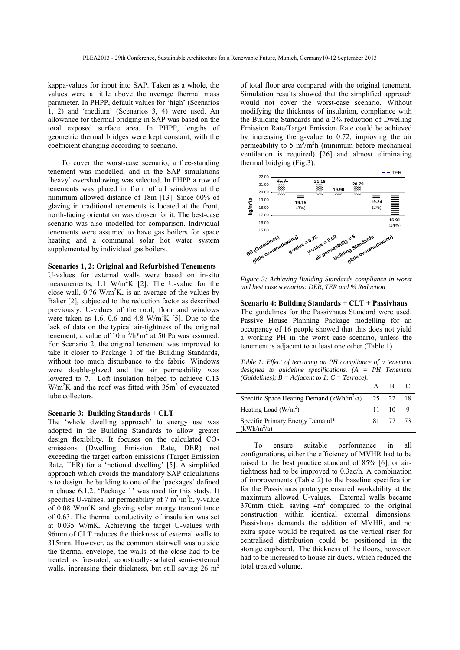kappa-values for input into SAP. Taken as a whole, the values were a little above the average thermal mass parameter. In PHPP, default values for 'high' (Scenarios 1, 2) and 'medium' (Scenarios 3, 4) were used. An allowance for thermal bridging in SAP was based on the total exposed surface area. In PHPP, lengths of geometric thermal bridges were kept constant, with the coefficient changing according to scenario.

To cover the worst-case scenario, a free-standing tenement was modelled, and in the SAP simulations 'heavy' overshadowing was selected. In PHPP a row of tenements was placed in front of all windows at the minimum allowed distance of 18m [13]. Since 60% of glazing in traditional tenements is located at the front, north-facing orientation was chosen for it. The best-case scenario was also modelled for comparison. Individual tenements were assumed to have gas boilers for space heating and a communal solar hot water system supplemented by individual gas boilers.

## **Scenarios 1, 2: Original and Refurbished Tenements**

U-values for external walls were based on in-situ measurements, 1.1  $W/m^2K$  [2]. The U-value for the close wall,  $0.76$  W/m<sup>2</sup>K, is an average of the values by Baker [2], subjected to the reduction factor as described previously. U-values of the roof, floor and windows were taken as 1.6, 0.6 and 4.8  $W/m^2K$  [5]. Due to the lack of data on the typical air-tightness of the original tenement, a value of  $10 \text{ m}^3/\text{h}^* \text{m}^2$  at 50 Pa was assumed. For Scenario 2, the original tenement was improved to take it closer to Package 1 of the Building Standards, without too much disturbance to the fabric. Windows were double-glazed and the air permeability was lowered to 7. Loft insulation helped to achieve 0.13  $W/m<sup>2</sup>K$  and the roof was fitted with 35m<sup>2</sup> of evacuated tube collectors.

## **Scenario 3: Building Standards + CLT**

The 'whole dwelling approach' to energy use was adopted in the Building Standards to allow greater design flexibility. It focuses on the calculated  $CO<sub>2</sub>$ emissions (Dwelling Emission Rate, DER) not exceeding the target carbon emissions (Target Emission Rate, TER) for a 'notional dwelling' [5]. A simplified approach which avoids the mandatory SAP calculations is to design the building to one of the 'packages' defined in clause 6.1.2. 'Package 1' was used for this study. It specifies U-values, air permeability of  $7 \text{ m}^3/\text{m}^2$ h, y-value of  $0.08$  W/m<sup>2</sup>K and glazing solar energy transmittance of 0.63. The thermal conductivity of insulation was set at 0.035 W/mK. Achieving the target U-values with 96mm of CLT reduces the thickness of external walls to 315mm. However, as the common stairwell was outside the thermal envelope, the walls of the close had to be treated as fire-rated, acoustically-isolated semi-external walls, increasing their thickness, but still saving  $26 \text{ m}^2$ 

of total floor area compared with the original tenement. Simulation results showed that the simplified approach would not cover the worst-case scenario. Without modifying the thickness of insulation, compliance with the Building Standards and a 2% reduction of Dwelling Emission Rate/Target Emission Rate could be achieved by increasing the g-value to 0.72, improving the air permeability to 5  $\text{m}^3/\text{m}^2$ h (minimum before mechanical ventilation is required) [26] and almost eliminating thermal bridging (Fig.3).



*Figure 3: Achieving Building Standards compliance in worst and best case scenarios: DER, TER and % Reduction* 

**Scenario 4: Building Standards + CLT + Passivhaus** The guidelines for the Passivhaus Standard were used. Passive House Planning Package modelling for an occupancy of 16 people showed that this does not yield a working PH in the worst case scenario, unless the tenement is adjacent to at least one other (Table 1).

*Table 1: Effect of terracing on PH compliance of a tenement designed to guideline specifications. (A = PH Tenement (Guidelines):*  $B = Adjacent to 1$ :  $C = Terrace$ ).

|                                                        | $A \cap R \cap C$ |  |
|--------------------------------------------------------|-------------------|--|
| Specific Space Heating Demand ( $kWh/m^2/a$ ) 25 22 18 |                   |  |
| Heating Load $(W/m^2)$                                 | $11 \t10 \t9$     |  |
| Specific Primary Energy Demand*<br>$(kWh/m^2/a)$       | 81 77 73          |  |

To ensure suitable performance in all configurations, either the efficiency of MVHR had to be raised to the best practice standard of 85% [6], or airtightness had to be improved to 0.3ac/h. A combination of improvements (Table 2) to the baseline specification for the Passivhaus prototype ensured workability at the maximum allowed U-values. External walls became 370mm thick, saving  $4m^2$  compared to the original construction within identical external dimensions. Passivhaus demands the addition of MVHR, and no extra space would be required, as the vertical riser for centralised distribution could be positioned in the storage cupboard. The thickness of the floors, however, had to be increased to house air ducts, which reduced the total treated volume.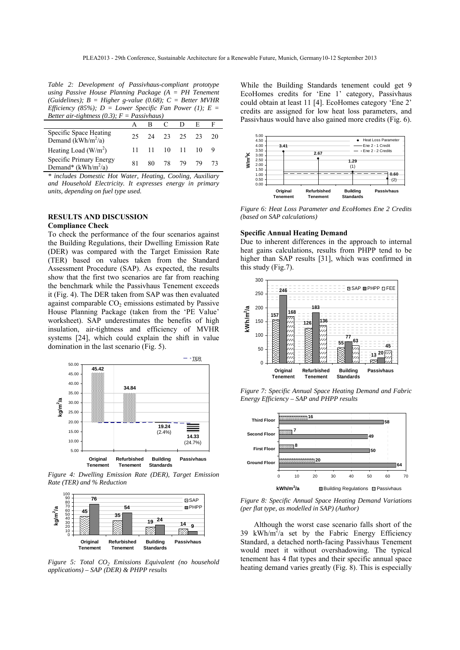*Table 2: Development of Passivhaus-compliant prototype using Passive House Planning Package (A = PH Tenement (Guidelines); B = Higher g-value (0.68); C = Better MVHR Efficiency (85%); D = Lower Specific Fan Power (1); E = Better air-tightness (0.3); F = Passivhaus)* 

|                                                          | $\sim$ $\sim$ |  |  |                |  |     |
|----------------------------------------------------------|---------------|--|--|----------------|--|-----|
|                                                          |               |  |  |                |  |     |
| Specific Space Heating<br>Demand (kWh/m <sup>2</sup> /a) |               |  |  | 25 24 23 25 23 |  | -20 |
| Heating Load $(W/m^2)$                                   |               |  |  | 11 11 10 11 10 |  |     |
| Specific Primary Energy<br>Demand* $(kWh/m^2/a)$         | 81.           |  |  | 80 78 79 79    |  |     |

*\* includes Domestic Hot Water, Heating, Cooling, Auxiliary and Household Electricity. It expresses energy in primary units, depending on fuel type used.*

## **RESULTS AND DISCUSSION**

## **Compliance Check**

To check the performance of the four scenarios against the Building Regulations, their Dwelling Emission Rate (DER) was compared with the Target Emission Rate (TER) based on values taken from the Standard Assessment Procedure (SAP). As expected, the results show that the first two scenarios are far from reaching the benchmark while the Passivhaus Tenement exceeds it (Fig. 4). The DER taken from SAP was then evaluated against comparable  $CO<sub>2</sub>$  emissions estimated by Passive House Planning Package (taken from the 'PE Value' worksheet). SAP underestimates the benefits of high insulation, air-tightness and efficiency of MVHR systems [24], which could explain the shift in value domination in the last scenario (Fig. 5).



 *Figure 4: Dwelling Emission Rate (DER), Target Emission Rate (TER) and % Reduction* 



*Figure 5: Total CO2 Emissions Equivalent (no household applications) – SAP (DER) & PHPP results* 

While the Building Standards tenement could get 9 EcoHomes credits for 'Ene 1' category, Passivhaus could obtain at least 11 [4]. EcoHomes category 'Ene 2' credits are assigned for low heat loss parameters, and Passivhaus would have also gained more credits (Fig. 6).



*Figure 6: Heat Loss Parameter and EcoHomes Ene 2 Credits (based on SAP calculations)* 

## **Specific Annual Heating Demand**

Due to inherent differences in the approach to internal heat gains calculations, results from PHPP tend to be higher than SAP results [31], which was confirmed in this study (Fig.7).



*Figure 7: Specific Annual Space Heating Demand and Fabric Energy Efficiency – SAP and PHPP results* 



*Figure 8: Specific Annual Space Heating Demand Variations (per flat type, as modelled in SAP) (Author)* 

Although the worst case scenario falls short of the 39 kWh/m<sup>2</sup>/a set by the Fabric Energy Efficiency Standard, a detached north-facing Passivhaus Tenement would meet it without overshadowing. The typical tenement has 4 flat types and their specific annual space heating demand varies greatly (Fig. 8). This is especially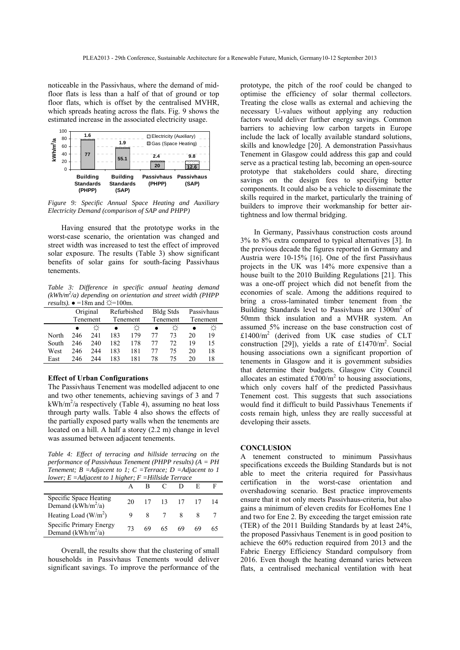noticeable in the Passivhaus, where the demand of midfloor flats is less than a half of that of ground or top floor flats, which is offset by the centralised MVHR, which spreads heating across the flats. Fig. 9 shows the estimated increase in the associated electricity usage.



*Figure 9: Specific Annual Space Heating and Auxiliary Electricity Demand (comparison of SAP and PHPP)* 

Having ensured that the prototype works in the worst-case scenario, the orientation was changed and street width was increased to test the effect of improved solar exposure. The results (Table 3) show significant benefits of solar gains for south-facing Passivhaus tenements.

*Table 3: Difference in specific annual heating demand (kWh/m2 /a) depending on orientation and street width (PHPP results*).  $\bullet = 18$ m and  $\angle \neq = 100$ m.

|       |     | Original |     | Refurbished |    | <b>Bldg Stds</b> |    | Passivhaus |  |
|-------|-----|----------|-----|-------------|----|------------------|----|------------|--|
|       |     | Tenement |     | Tenement    |    | Tenement         |    | Tenement   |  |
|       |     |          |     |             |    |                  |    |            |  |
| North | 246 | 241      | 183 | 179         | 77 | 73               | 20 | 19         |  |
| South | 246 | 240      | 182 | 178         | 77 | 72               | 19 | 15         |  |
| West  | 246 | 244      | 183 | 181         | 77 | 75               | 20 | 18         |  |
| East  | 246 | 244      | 183 | 181         | 78 | 75               | 20 | 18         |  |

## **Effect of Urban Configurations**

The Passivhaus Tenement was modelled adjacent to one and two other tenements, achieving savings of 3 and 7  $kWh/m<sup>2</sup>/a$  respectively (Table 4), assuming no heat loss through party walls. Table 4 also shows the effects of the partially exposed party walls when the tenements are located on a hill. A half a storey (2.2 m) change in level was assumed between adjacent tenements.

*Table 4: Effect of terracing and hillside terracing on the performance of Passivhaus Tenement (PHPP results) (A = PH Tenement; B =Adjacent to 1; C =Terrace; D =Adjacent to 1 lower; E =Adjacent to 1 higher; F =Hillside Terrace* 

| $i\sigma\kappa\sigma$ , $E = i\omega\mu\sigma\sigma\kappa\omega$ to 1 $i\omega\kappa\kappa\sigma$ , 1 $-$ 11 $i\omega\sigma\kappa\omega\sigma$ 1 $\sigma\tau\kappa\sigma\sigma\sigma$ |    |       |                |     |    |    |  |  |
|---------------------------------------------------------------------------------------------------------------------------------------------------------------------------------------|----|-------|----------------|-----|----|----|--|--|
|                                                                                                                                                                                       |    | A R C |                |     |    |    |  |  |
| Specific Space Heating<br>Demand $(kWh/m^2/a)$                                                                                                                                        |    |       | 20 17 13 17 17 |     |    |    |  |  |
| Heating Load $(W/m^2)$                                                                                                                                                                |    |       | 8 7 8          |     |    |    |  |  |
| Specific Primary Energy<br>Demand $(kWh/m^2/a)$                                                                                                                                       | 73 | 69.   | 65.            | -69 | 69 | 65 |  |  |

Overall, the results show that the clustering of small households in Passivhaus Tenements would deliver significant savings. To improve the performance of the prototype, the pitch of the roof could be changed to optimise the efficiency of solar thermal collectors. Treating the close walls as external and achieving the necessary U-values without applying any reduction factors would deliver further energy savings. Common barriers to achieving low carbon targets in Europe include the lack of locally available standard solutions, skills and knowledge [20]. A demonstration Passivhaus Tenement in Glasgow could address this gap and could serve as a practical testing lab, becoming an open-source prototype that stakeholders could share, directing savings on the design fees to specifying better components. It could also be a vehicle to disseminate the skills required in the market, particularly the training of builders to improve their workmanship for better airtightness and low thermal bridging.

In Germany, Passivhaus construction costs around 3% to 8% extra compared to typical alternatives [3]. In the previous decade the figures reported in Germany and Austria were 10-15% [16]. One of the first Passivhaus projects in the UK was 14% more expensive than a house built to the 2010 Building Regulations [21]. This was a one-off project which did not benefit from the economies of scale. Among the additions required to bring a cross-laminated timber tenement from the Building Standards level to Passivhaus are 1300m<sup>2</sup> of 50mm thick insulation and a MVHR system. An assumed 5% increase on the base construction cost of £1400/m2 (derived from UK case studies of CLT construction [29]), yields a rate of £1470/ $m^2$ . Social housing associations own a significant proportion of tenements in Glasgow and it is government subsidies that determine their budgets. Glasgow City Council allocates an estimated  $£700/m<sup>2</sup>$  to housing associations, which only covers half of the predicted Passivhaus Tenement cost. This suggests that such associations would find it difficult to build Passivhaus Tenements if costs remain high, unless they are really successful at developing their assets.

#### **CONCLUSION**

A tenement constructed to minimum Passivhaus specifications exceeds the Building Standards but is not able to meet the criteria required for Passivhaus certification in the worst-case orientation and overshadowing scenario. Best practice improvements ensure that it not only meets Passivhaus-criteria, but also gains a minimum of eleven credits for EcoHomes Ene 1 and two for Ene 2. By exceeding the target emission rate (TER) of the 2011 Building Standards by at least 24%, the proposed Passivhaus Tenement is in good position to achieve the 60% reduction required from 2013 and the Fabric Energy Efficiency Standard compulsory from 2016. Even though the heating demand varies between flats, a centralised mechanical ventilation with heat